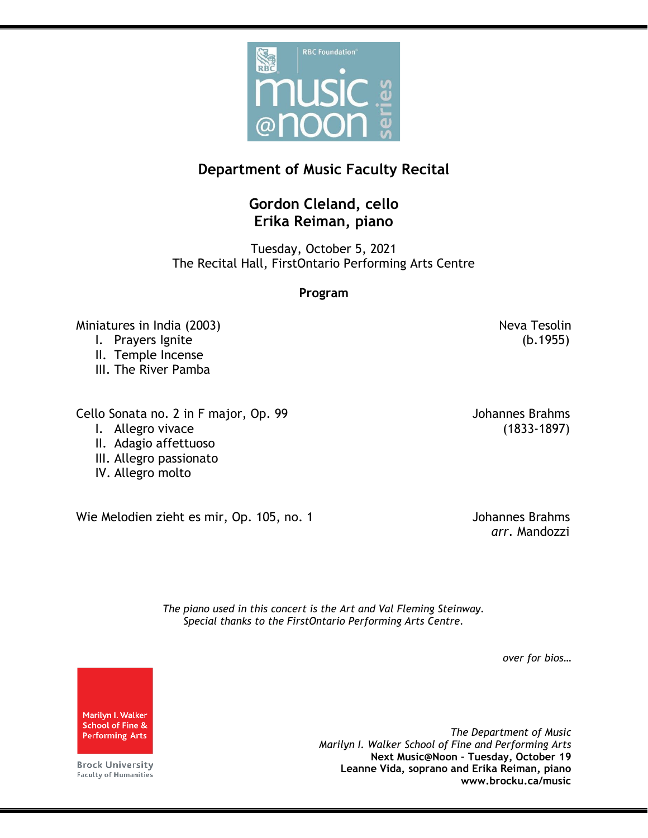

## **Department of Music Faculty Recital**

## **Gordon Cleland, cello Erika Reiman, piano**

Tuesday, October 5, 2021 The Recital Hall, FirstOntario Performing Arts Centre

## **Program**

Miniatures in India (2003) Neva Tesolin

- I. Prayers Ignite (b.1955)
- II. Temple Incense
- III. The River Pamba

Cello Sonata no. 2 in F major, Op. 99 Johannes Brahms

- 
- II. Adagio affettuoso
- III. Allegro passionato
- IV. Allegro molto

Wie Melodien zieht es mir, Op. 105, no. 1

I. Allegro vivace (1833-1897)

*arr.* Mandozzi

*The piano used in this concert is the Art and Val Fleming Steinway. Special thanks to the FirstOntario Performing Arts Centre.*

*over for bios…*

Marilyn I. Walker **School of Fine & Performing Arts** 

**Brock University Faculty of Humanities** 

*The Department of Music Marilyn I. Walker School of Fine and Performing Arts* **Next Music@Noon – Tuesday, October 19 Leanne Vida, soprano and Erika Reiman, piano www.brocku.ca/music**